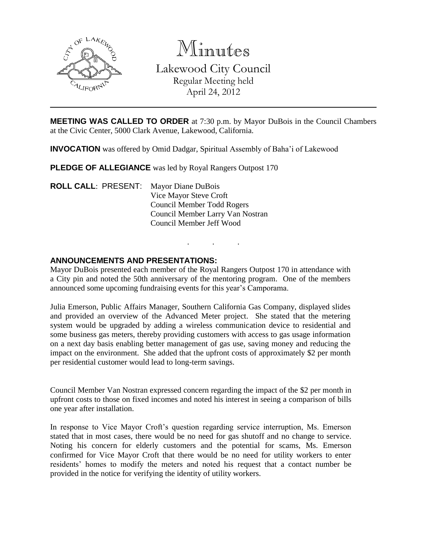

Minutes Lakewood City Council Regular Meeting held April 24, 2012

**MEETING WAS CALLED TO ORDER** at 7:30 p.m. by Mayor DuBois in the Council Chambers at the Civic Center, 5000 Clark Avenue, Lakewood, California.

**INVOCATION** was offered by Omid Dadgar, Spiritual Assembly of Baha'i of Lakewood

**PLEDGE OF ALLEGIANCE** was led by Royal Rangers Outpost 170

**ROLL CALL**: PRESENT: Mayor Diane DuBois Vice Mayor Steve Croft Council Member Todd Rogers Council Member Larry Van Nostran Council Member Jeff Wood

# **ANNOUNCEMENTS AND PRESENTATIONS:**

Mayor DuBois presented each member of the Royal Rangers Outpost 170 in attendance with a City pin and noted the 50th anniversary of the mentoring program. One of the members announced some upcoming fundraising events for this year's Camporama.

. . .

Julia Emerson, Public Affairs Manager, Southern California Gas Company, displayed slides and provided an overview of the Advanced Meter project. She stated that the metering system would be upgraded by adding a wireless communication device to residential and some business gas meters, thereby providing customers with access to gas usage information on a next day basis enabling better management of gas use, saving money and reducing the impact on the environment. She added that the upfront costs of approximately \$2 per month per residential customer would lead to long-term savings.

Council Member Van Nostran expressed concern regarding the impact of the \$2 per month in upfront costs to those on fixed incomes and noted his interest in seeing a comparison of bills one year after installation.

In response to Vice Mayor Croft's question regarding service interruption, Ms. Emerson stated that in most cases, there would be no need for gas shutoff and no change to service. Noting his concern for elderly customers and the potential for scams, Ms. Emerson confirmed for Vice Mayor Croft that there would be no need for utility workers to enter residents' homes to modify the meters and noted his request that a contact number be provided in the notice for verifying the identity of utility workers.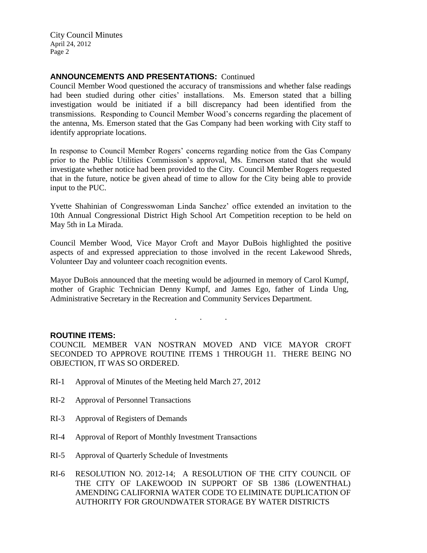# **ANNOUNCEMENTS AND PRESENTATIONS:** Continued

Council Member Wood questioned the accuracy of transmissions and whether false readings had been studied during other cities' installations. Ms. Emerson stated that a billing investigation would be initiated if a bill discrepancy had been identified from the transmissions. Responding to Council Member Wood's concerns regarding the placement of the antenna, Ms. Emerson stated that the Gas Company had been working with City staff to identify appropriate locations.

In response to Council Member Rogers' concerns regarding notice from the Gas Company prior to the Public Utilities Commission's approval, Ms. Emerson stated that she would investigate whether notice had been provided to the City. Council Member Rogers requested that in the future, notice be given ahead of time to allow for the City being able to provide input to the PUC.

Yvette Shahinian of Congresswoman Linda Sanchez' office extended an invitation to the 10th Annual Congressional District High School Art Competition reception to be held on May 5th in La Mirada.

Council Member Wood, Vice Mayor Croft and Mayor DuBois highlighted the positive aspects of and expressed appreciation to those involved in the recent Lakewood Shreds, Volunteer Day and volunteer coach recognition events.

Mayor DuBois announced that the meeting would be adjourned in memory of Carol Kumpf, mother of Graphic Technician Denny Kumpf, and James Ego, father of Linda Ung, Administrative Secretary in the Recreation and Community Services Department.

. . .

#### **ROUTINE ITEMS:**

COUNCIL MEMBER VAN NOSTRAN MOVED AND VICE MAYOR CROFT SECONDED TO APPROVE ROUTINE ITEMS 1 THROUGH 11. THERE BEING NO OBJECTION, IT WAS SO ORDERED.

- RI-1 Approval of Minutes of the Meeting held March 27, 2012
- RI-2 Approval of Personnel Transactions
- RI-3 Approval of Registers of Demands
- RI-4 Approval of Report of Monthly Investment Transactions
- RI-5 Approval of Quarterly Schedule of Investments
- RI-6 RESOLUTION NO. 2012-14; A RESOLUTION OF THE CITY COUNCIL OF THE CITY OF LAKEWOOD IN SUPPORT OF SB 1386 (LOWENTHAL) AMENDING CALIFORNIA WATER CODE TO ELIMINATE DUPLICATION OF AUTHORITY FOR GROUNDWATER STORAGE BY WATER DISTRICTS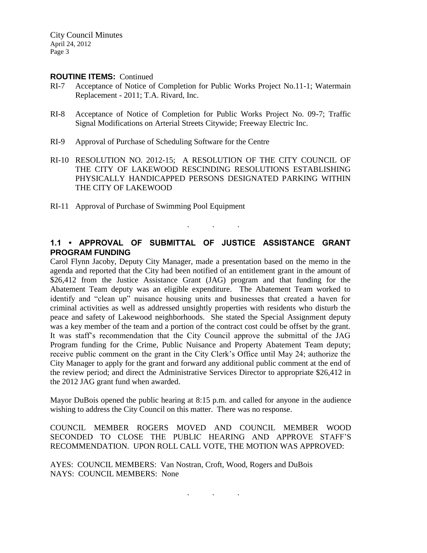#### **ROUTINE ITEMS:** Continued

- RI-7 Acceptance of Notice of Completion for Public Works Project No.11-1; Watermain Replacement - 2011; T.A. Rivard, Inc.
- RI-8 Acceptance of Notice of Completion for Public Works Project No. 09-7; Traffic Signal Modifications on Arterial Streets Citywide; Freeway Electric Inc.
- RI-9 Approval of Purchase of Scheduling Software for the Centre
- RI-10 RESOLUTION NO. 2012-15; A RESOLUTION OF THE CITY COUNCIL OF THE CITY OF LAKEWOOD RESCINDING RESOLUTIONS ESTABLISHING PHYSICALLY HANDICAPPED PERSONS DESIGNATED PARKING WITHIN THE CITY OF LAKEWOOD
- RI-11 Approval of Purchase of Swimming Pool Equipment

# **1.1 • APPROVAL OF SUBMITTAL OF JUSTICE ASSISTANCE GRANT PROGRAM FUNDING**

. . .

Carol Flynn Jacoby, Deputy City Manager, made a presentation based on the memo in the agenda and reported that the City had been notified of an entitlement grant in the amount of \$26,412 from the Justice Assistance Grant (JAG) program and that funding for the Abatement Team deputy was an eligible expenditure. The Abatement Team worked to identify and "clean up" nuisance housing units and businesses that created a haven for criminal activities as well as addressed unsightly properties with residents who disturb the peace and safety of Lakewood neighborhoods. She stated the Special Assignment deputy was a key member of the team and a portion of the contract cost could be offset by the grant. It was staff's recommendation that the City Council approve the submittal of the JAG Program funding for the Crime, Public Nuisance and Property Abatement Team deputy; receive public comment on the grant in the City Clerk's Office until May 24; authorize the City Manager to apply for the grant and forward any additional public comment at the end of the review period; and direct the Administrative Services Director to appropriate \$26,412 in the 2012 JAG grant fund when awarded.

Mayor DuBois opened the public hearing at 8:15 p.m. and called for anyone in the audience wishing to address the City Council on this matter. There was no response.

COUNCIL MEMBER ROGERS MOVED AND COUNCIL MEMBER WOOD SECONDED TO CLOSE THE PUBLIC HEARING AND APPROVE STAFF'S RECOMMENDATION. UPON ROLL CALL VOTE, THE MOTION WAS APPROVED:

. . .

AYES: COUNCIL MEMBERS: Van Nostran, Croft, Wood, Rogers and DuBois NAYS: COUNCIL MEMBERS: None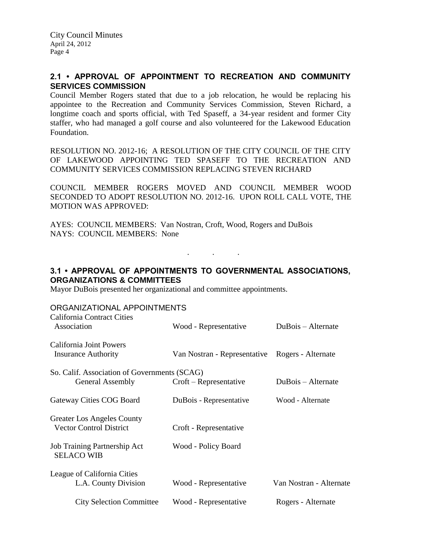# **2.1 • APPROVAL OF APPOINTMENT TO RECREATION AND COMMUNITY SERVICES COMMISSION**

Council Member Rogers stated that due to a job relocation, he would be replacing his appointee to the Recreation and Community Services Commission, Steven Richard, a longtime coach and sports official, with Ted Spaseff, a 34-year resident and former City staffer, who had managed a golf course and also volunteered for the Lakewood Education Foundation.

RESOLUTION NO. 2012-16; A RESOLUTION OF THE CITY COUNCIL OF THE CITY OF LAKEWOOD APPOINTING TED SPASEFF TO THE RECREATION AND COMMUNITY SERVICES COMMISSION REPLACING STEVEN RICHARD

COUNCIL MEMBER ROGERS MOVED AND COUNCIL MEMBER WOOD SECONDED TO ADOPT RESOLUTION NO. 2012-16. UPON ROLL CALL VOTE, THE MOTION WAS APPROVED:

AYES: COUNCIL MEMBERS: Van Nostran, Croft, Wood, Rogers and DuBois NAYS: COUNCIL MEMBERS: None

# **3.1 • APPROVAL OF APPOINTMENTS TO GOVERNMENTAL ASSOCIATIONS, ORGANIZATIONS & COMMITTEES**

. . .

Mayor DuBois presented her organizational and committee appointments.

### ORGANIZATIONAL APPOINTMENTS

| <b>California Contract Cities</b><br>Association                    | Wood - Representative        | DuBois – Alternate      |
|---------------------------------------------------------------------|------------------------------|-------------------------|
| California Joint Powers<br><b>Insurance Authority</b>               | Van Nostran - Representative | Rogers - Alternate      |
| So. Calif. Association of Governments (SCAG)                        |                              |                         |
| General Assembly                                                    | $Crott - Representative$     | DuBois – Alternate      |
| Gateway Cities COG Board                                            | DuBois - Representative      | Wood - Alternate        |
| <b>Greater Los Angeles County</b><br><b>Vector Control District</b> | Croft - Representative       |                         |
| Job Training Partnership Act<br><b>SELACO WIB</b>                   | Wood - Policy Board          |                         |
| League of California Cities<br>L.A. County Division                 | Wood - Representative        | Van Nostran - Alternate |
| <b>City Selection Committee</b>                                     | Wood - Representative        | Rogers - Alternate      |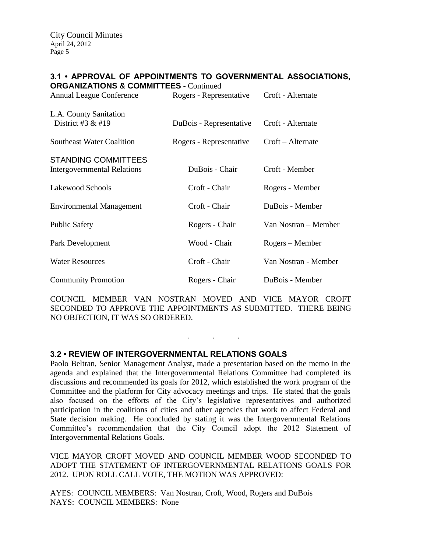#### **3.1 • APPROVAL OF APPOINTMENTS TO GOVERNMENTAL ASSOCIATIONS, ORGANIZATIONS & COMMITTEES** - Continued

| <b>ORGANIZATIONS &amp; COMMITTEES - Continued</b><br><b>Annual League Conference</b> | Rogers - Representative | Croft - Alternate    |
|--------------------------------------------------------------------------------------|-------------------------|----------------------|
| L.A. County Sanitation<br>District #3 $&$ #19                                        | DuBois - Representative | Croft - Alternate    |
| <b>Southeast Water Coalition</b>                                                     | Rogers - Representative | Croft – Alternate    |
| <b>STANDING COMMITTEES</b><br><b>Intergovernmental Relations</b>                     | DuBois - Chair          | Croft - Member       |
| Lakewood Schools                                                                     | Croft - Chair           | Rogers - Member      |
| <b>Environmental Management</b>                                                      | Croft - Chair           | DuBois - Member      |
| <b>Public Safety</b>                                                                 | Rogers - Chair          | Van Nostran – Member |
| Park Development                                                                     | Wood - Chair            | Rogers – Member      |
| <b>Water Resources</b>                                                               | Croft - Chair           | Van Nostran - Member |
| <b>Community Promotion</b>                                                           | Rogers - Chair          | DuBois - Member      |

COUNCIL MEMBER VAN NOSTRAN MOVED AND VICE MAYOR CROFT SECONDED TO APPROVE THE APPOINTMENTS AS SUBMITTED. THERE BEING NO OBJECTION, IT WAS SO ORDERED.

. . .

# **3.2 • REVIEW OF INTERGOVERNMENTAL RELATIONS GOALS**

Paolo Beltran, Senior Management Analyst, made a presentation based on the memo in the agenda and explained that the Intergovernmental Relations Committee had completed its discussions and recommended its goals for 2012, which established the work program of the Committee and the platform for City advocacy meetings and trips. He stated that the goals also focused on the efforts of the City's legislative representatives and authorized participation in the coalitions of cities and other agencies that work to affect Federal and State decision making. He concluded by stating it was the Intergovernmental Relations Committee's recommendation that the City Council adopt the 2012 Statement of Intergovernmental Relations Goals.

VICE MAYOR CROFT MOVED AND COUNCIL MEMBER WOOD SECONDED TO ADOPT THE STATEMENT OF INTERGOVERNMENTAL RELATIONS GOALS FOR 2012. UPON ROLL CALL VOTE, THE MOTION WAS APPROVED:

AYES: COUNCIL MEMBERS: Van Nostran, Croft, Wood, Rogers and DuBois NAYS: COUNCIL MEMBERS: None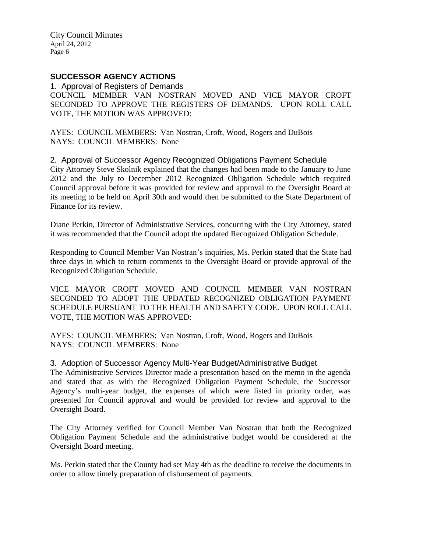# **SUCCESSOR AGENCY ACTIONS**

1. Approval of Registers of Demands COUNCIL MEMBER VAN NOSTRAN MOVED AND VICE MAYOR CROFT SECONDED TO APPROVE THE REGISTERS OF DEMANDS. UPON ROLL CALL VOTE, THE MOTION WAS APPROVED:

AYES: COUNCIL MEMBERS: Van Nostran, Croft, Wood, Rogers and DuBois NAYS: COUNCIL MEMBERS: None

2. Approval of Successor Agency Recognized Obligations Payment Schedule City Attorney Steve Skolnik explained that the changes had been made to the January to June 2012 and the July to December 2012 Recognized Obligation Schedule which required Council approval before it was provided for review and approval to the Oversight Board at its meeting to be held on April 30th and would then be submitted to the State Department of Finance for its review.

Diane Perkin, Director of Administrative Services, concurring with the City Attorney, stated it was recommended that the Council adopt the updated Recognized Obligation Schedule.

Responding to Council Member Van Nostran's inquiries, Ms. Perkin stated that the State had three days in which to return comments to the Oversight Board or provide approval of the Recognized Obligation Schedule.

VICE MAYOR CROFT MOVED AND COUNCIL MEMBER VAN NOSTRAN SECONDED TO ADOPT THE UPDATED RECOGNIZED OBLIGATION PAYMENT SCHEDULE PURSUANT TO THE HEALTH AND SAFETY CODE. UPON ROLL CALL VOTE, THE MOTION WAS APPROVED:

AYES: COUNCIL MEMBERS: Van Nostran, Croft, Wood, Rogers and DuBois NAYS: COUNCIL MEMBERS: None

3. Adoption of Successor Agency Multi-Year Budget/Administrative Budget

The Administrative Services Director made a presentation based on the memo in the agenda and stated that as with the Recognized Obligation Payment Schedule, the Successor Agency's multi-year budget, the expenses of which were listed in priority order, was presented for Council approval and would be provided for review and approval to the Oversight Board.

The City Attorney verified for Council Member Van Nostran that both the Recognized Obligation Payment Schedule and the administrative budget would be considered at the Oversight Board meeting.

Ms. Perkin stated that the County had set May 4th as the deadline to receive the documents in order to allow timely preparation of disbursement of payments.